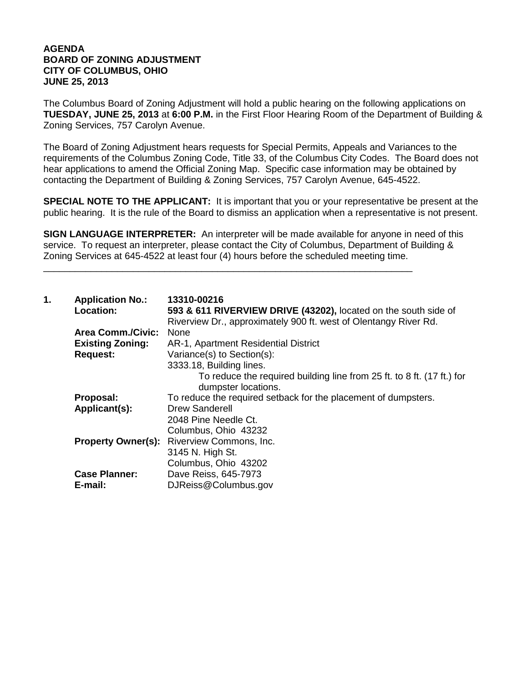## **AGENDA BOARD OF ZONING ADJUSTMENT CITY OF COLUMBUS, OHIO JUNE 25, 2013**

The Columbus Board of Zoning Adjustment will hold a public hearing on the following applications on **TUESDAY, JUNE 25, 2013** at **6:00 P.M.** in the First Floor Hearing Room of the Department of Building & Zoning Services, 757 Carolyn Avenue.

The Board of Zoning Adjustment hears requests for Special Permits, Appeals and Variances to the requirements of the Columbus Zoning Code, Title 33, of the Columbus City Codes. The Board does not hear applications to amend the Official Zoning Map. Specific case information may be obtained by contacting the Department of Building & Zoning Services, 757 Carolyn Avenue, 645-4522.

**SPECIAL NOTE TO THE APPLICANT:** It is important that you or your representative be present at the public hearing. It is the rule of the Board to dismiss an application when a representative is not present.

**SIGN LANGUAGE INTERPRETER:** An interpreter will be made available for anyone in need of this service. To request an interpreter, please contact the City of Columbus, Department of Building & Zoning Services at 645-4522 at least four (4) hours before the scheduled meeting time.

\_\_\_\_\_\_\_\_\_\_\_\_\_\_\_\_\_\_\_\_\_\_\_\_\_\_\_\_\_\_\_\_\_\_\_\_\_\_\_\_\_\_\_\_\_\_\_\_\_\_\_\_\_\_\_\_\_\_\_\_\_\_\_\_\_\_\_\_\_\_

| 1. | <b>Application No.:</b><br>Location: | 13310-00216<br>593 & 611 RIVERVIEW DRIVE (43202), located on the south side of<br>Riverview Dr., approximately 900 ft. west of Olentangy River Rd. |
|----|--------------------------------------|----------------------------------------------------------------------------------------------------------------------------------------------------|
|    | <b>Area Comm./Civic:</b>             | None                                                                                                                                               |
|    | <b>Existing Zoning:</b>              | AR-1, Apartment Residential District                                                                                                               |
|    | <b>Request:</b>                      | Variance(s) to Section(s):                                                                                                                         |
|    |                                      | 3333.18, Building lines.                                                                                                                           |
|    |                                      | To reduce the required building line from 25 ft. to 8 ft. (17 ft.) for<br>dumpster locations.                                                      |
|    | Proposal:                            | To reduce the required setback for the placement of dumpsters.                                                                                     |
|    | Applicant(s):                        | <b>Drew Sanderell</b>                                                                                                                              |
|    |                                      | 2048 Pine Needle Ct.                                                                                                                               |
|    |                                      | Columbus, Ohio 43232                                                                                                                               |
|    | <b>Property Owner(s):</b>            | Riverview Commons, Inc.                                                                                                                            |
|    |                                      | 3145 N. High St.                                                                                                                                   |
|    |                                      | Columbus, Ohio 43202                                                                                                                               |
|    | <b>Case Planner:</b>                 | Dave Reiss, 645-7973                                                                                                                               |
|    | E-mail:                              | DJReiss@Columbus.gov                                                                                                                               |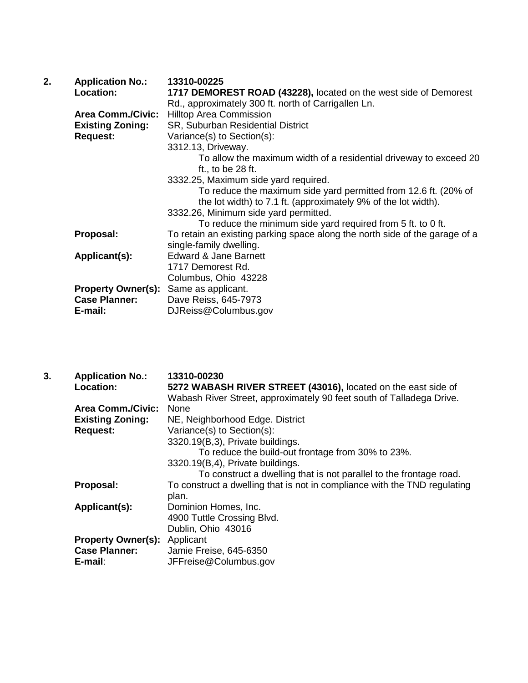| <b>Application No.:</b>  | 13310-00225                                                                                |
|--------------------------|--------------------------------------------------------------------------------------------|
| Location:                | 1717 DEMOREST ROAD (43228), located on the west side of Demorest                           |
|                          | Rd., approximately 300 ft. north of Carrigallen Ln.                                        |
| <b>Area Comm./Civic:</b> | <b>Hilltop Area Commission</b>                                                             |
| <b>Existing Zoning:</b>  | SR, Suburban Residential District                                                          |
| <b>Request:</b>          | Variance(s) to Section(s):                                                                 |
|                          | 3312.13, Driveway.                                                                         |
|                          | To allow the maximum width of a residential driveway to exceed 20                          |
|                          | ft., to be $28$ ft.                                                                        |
|                          | 3332.25, Maximum side yard required.                                                       |
|                          | To reduce the maximum side yard permitted from 12.6 ft. (20% of                            |
|                          | the lot width) to 7.1 ft. (approximately 9% of the lot width).                             |
|                          | 3332.26, Minimum side yard permitted.                                                      |
|                          | To reduce the minimum side yard required from 5 ft. to 0 ft.                               |
|                          | To retain an existing parking space along the north side of the garage of a                |
|                          | single-family dwelling.                                                                    |
|                          | Edward & Jane Barnett                                                                      |
|                          | 1717 Demorest Rd.                                                                          |
|                          | Columbus, Ohio 43228                                                                       |
|                          | Same as applicant.                                                                         |
|                          | Dave Reiss, 645-7973                                                                       |
|                          | DJReiss@Columbus.gov                                                                       |
|                          | Proposal:<br>Applicant(s):<br><b>Property Owner(s):</b><br><b>Case Planner:</b><br>E-mail: |

| 3. | <b>Application No.:</b><br>Location: | 13310-00230<br>5272 WABASH RIVER STREET (43016), located on the east side of<br>Wabash River Street, approximately 90 feet south of Talladega Drive. |
|----|--------------------------------------|------------------------------------------------------------------------------------------------------------------------------------------------------|
|    | <b>Area Comm./Civic:</b>             | <b>None</b>                                                                                                                                          |
|    | <b>Existing Zoning:</b>              | NE, Neighborhood Edge. District                                                                                                                      |
|    | <b>Request:</b>                      | Variance(s) to Section(s):                                                                                                                           |
|    |                                      | 3320.19(B,3), Private buildings.                                                                                                                     |
|    |                                      | To reduce the build-out frontage from 30% to 23%.                                                                                                    |
|    |                                      | 3320.19(B,4), Private buildings.                                                                                                                     |
|    |                                      | To construct a dwelling that is not parallel to the frontage road.                                                                                   |
|    | Proposal:                            | To construct a dwelling that is not in compliance with the TND regulating<br>plan.                                                                   |
|    | Applicant(s):                        | Dominion Homes, Inc.                                                                                                                                 |
|    |                                      | 4900 Tuttle Crossing Blvd.                                                                                                                           |
|    |                                      | Dublin, Ohio 43016                                                                                                                                   |
|    | <b>Property Owner(s):</b> Applicant  |                                                                                                                                                      |
|    | <b>Case Planner:</b>                 | Jamie Freise, 645-6350                                                                                                                               |
|    | E-mail:                              | JFFreise@Columbus.gov                                                                                                                                |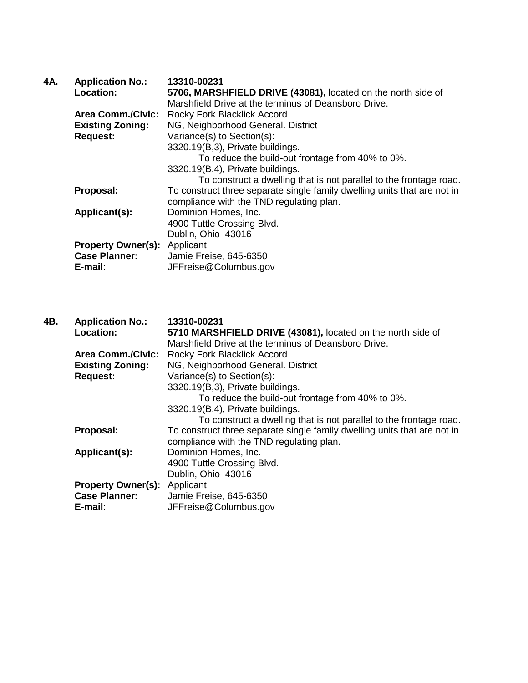|                           | 13310-00231                                                                                                                                                                     |
|---------------------------|---------------------------------------------------------------------------------------------------------------------------------------------------------------------------------|
|                           | 5706, MARSHFIELD DRIVE (43081), located on the north side of                                                                                                                    |
|                           | Marshfield Drive at the terminus of Deansboro Drive.                                                                                                                            |
|                           | Rocky Fork Blacklick Accord                                                                                                                                                     |
|                           | NG, Neighborhood General. District                                                                                                                                              |
|                           | Variance(s) to Section(s):                                                                                                                                                      |
|                           | 3320.19(B,3), Private buildings.                                                                                                                                                |
|                           | To reduce the build-out frontage from 40% to 0%.                                                                                                                                |
|                           | 3320.19(B,4), Private buildings.                                                                                                                                                |
|                           | To construct a dwelling that is not parallel to the frontage road.                                                                                                              |
|                           | To construct three separate single family dwelling units that are not in                                                                                                        |
|                           | compliance with the TND regulating plan.                                                                                                                                        |
|                           | Dominion Homes, Inc.                                                                                                                                                            |
|                           | 4900 Tuttle Crossing Blvd.                                                                                                                                                      |
|                           | Dublin, Ohio 43016                                                                                                                                                              |
| <b>Property Owner(s):</b> | Applicant                                                                                                                                                                       |
|                           | Jamie Freise, 645-6350                                                                                                                                                          |
|                           | JFFreise@Columbus.gov                                                                                                                                                           |
|                           | <b>Application No.:</b><br>Location:<br><b>Area Comm./Civic:</b><br><b>Existing Zoning:</b><br><b>Request:</b><br>Proposal:<br>Applicant(s):<br><b>Case Planner:</b><br>E-mail: |

| 4B. | <b>Application No.:</b>   | 13310-00231                                                              |
|-----|---------------------------|--------------------------------------------------------------------------|
|     | Location:                 | 5710 MARSHFIELD DRIVE (43081), located on the north side of              |
|     |                           | Marshfield Drive at the terminus of Deansboro Drive.                     |
|     | <b>Area Comm./Civic:</b>  | Rocky Fork Blacklick Accord                                              |
|     | <b>Existing Zoning:</b>   | NG, Neighborhood General. District                                       |
|     | <b>Request:</b>           | Variance(s) to Section(s):                                               |
|     |                           | 3320.19(B,3), Private buildings.                                         |
|     |                           | To reduce the build-out frontage from 40% to 0%.                         |
|     |                           | 3320.19(B,4), Private buildings.                                         |
|     |                           | To construct a dwelling that is not parallel to the frontage road.       |
|     | Proposal:                 | To construct three separate single family dwelling units that are not in |
|     |                           | compliance with the TND regulating plan.                                 |
|     | Applicant(s):             | Dominion Homes, Inc.                                                     |
|     |                           | 4900 Tuttle Crossing Blvd.                                               |
|     |                           | Dublin, Ohio 43016                                                       |
|     | <b>Property Owner(s):</b> | Applicant                                                                |
|     | <b>Case Planner:</b>      | Jamie Freise, 645-6350                                                   |
|     | E-mail:                   | JFFreise@Columbus.gov                                                    |
|     |                           |                                                                          |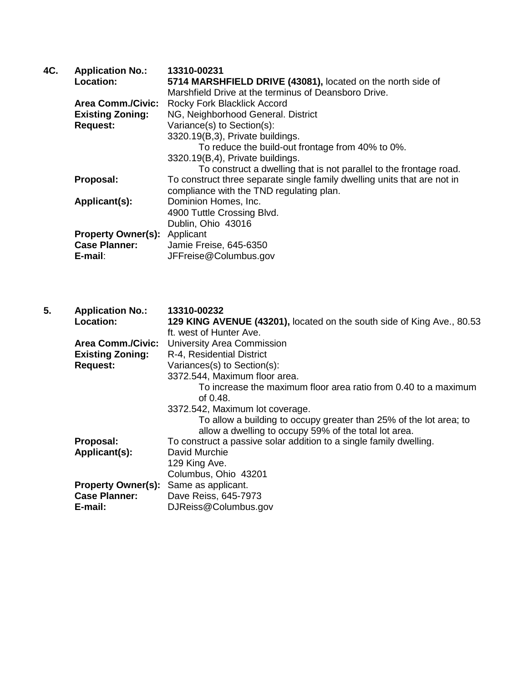| 4C. | <b>Application No.:</b>   | 13310-00231                                                              |
|-----|---------------------------|--------------------------------------------------------------------------|
|     | Location:                 | 5714 MARSHFIELD DRIVE (43081), located on the north side of              |
|     |                           | Marshfield Drive at the terminus of Deansboro Drive.                     |
|     | <b>Area Comm./Civic:</b>  | Rocky Fork Blacklick Accord                                              |
|     | <b>Existing Zoning:</b>   | NG, Neighborhood General. District                                       |
|     | <b>Request:</b>           | Variance(s) to Section(s):                                               |
|     |                           | 3320.19(B,3), Private buildings.                                         |
|     |                           | To reduce the build-out frontage from 40% to 0%.                         |
|     |                           | 3320.19(B,4), Private buildings.                                         |
|     |                           | To construct a dwelling that is not parallel to the frontage road.       |
|     | Proposal:                 | To construct three separate single family dwelling units that are not in |
|     |                           | compliance with the TND regulating plan.                                 |
|     | Applicant(s):             | Dominion Homes, Inc.                                                     |
|     |                           | 4900 Tuttle Crossing Blvd.                                               |
|     |                           | Dublin, Ohio 43016                                                       |
|     | <b>Property Owner(s):</b> | Applicant                                                                |
|     | <b>Case Planner:</b>      | Jamie Freise, 645-6350                                                   |
|     | E-mail:                   | JFFreise@Columbus.gov                                                    |
|     |                           |                                                                          |

| 5. | <b>Application No.:</b>   | 13310-00232                                                            |
|----|---------------------------|------------------------------------------------------------------------|
|    | Location:                 | 129 KING AVENUE (43201), located on the south side of King Ave., 80.53 |
|    |                           | ft. west of Hunter Ave.                                                |
|    | <b>Area Comm./Civic:</b>  | <b>University Area Commission</b>                                      |
|    | <b>Existing Zoning:</b>   | R-4, Residential District                                              |
|    | <b>Request:</b>           | Variances(s) to Section(s):                                            |
|    |                           | 3372.544, Maximum floor area.                                          |
|    |                           | To increase the maximum floor area ratio from 0.40 to a maximum        |
|    |                           | of $0.48$ .                                                            |
|    |                           | 3372.542, Maximum lot coverage.                                        |
|    |                           | To allow a building to occupy greater than 25% of the lot area; to     |
|    |                           | allow a dwelling to occupy 59% of the total lot area.                  |
|    | Proposal:                 | To construct a passive solar addition to a single family dwelling.     |
|    | Applicant(s):             | David Murchie                                                          |
|    |                           | 129 King Ave.                                                          |
|    |                           | Columbus, Ohio 43201                                                   |
|    | <b>Property Owner(s):</b> | Same as applicant.                                                     |
|    | <b>Case Planner:</b>      | Dave Reiss, 645-7973                                                   |
|    | E-mail:                   | DJReiss@Columbus.gov                                                   |
|    |                           |                                                                        |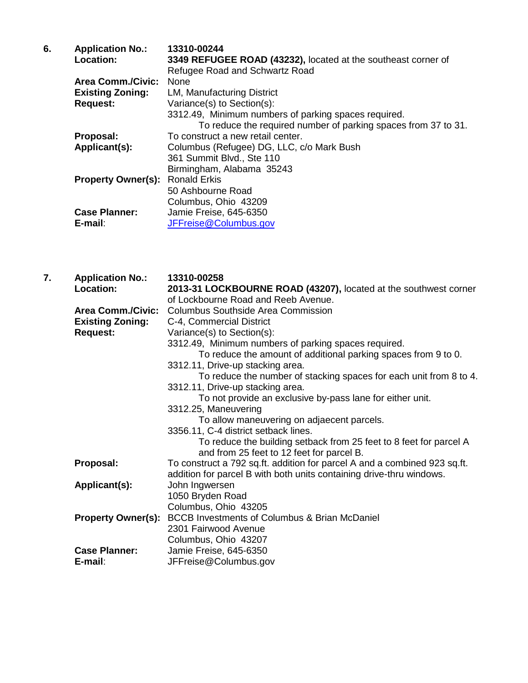| 6. | <b>Application No.:</b>   | 13310-00244                                                    |
|----|---------------------------|----------------------------------------------------------------|
|    | Location:                 | 3349 REFUGEE ROAD (43232), located at the southeast corner of  |
|    |                           | Refugee Road and Schwartz Road                                 |
|    | <b>Area Comm./Civic:</b>  | <b>None</b>                                                    |
|    | <b>Existing Zoning:</b>   | LM, Manufacturing District                                     |
|    | <b>Request:</b>           | Variance(s) to Section(s):                                     |
|    |                           | 3312.49, Minimum numbers of parking spaces required.           |
|    |                           | To reduce the required number of parking spaces from 37 to 31. |
|    | Proposal:                 | To construct a new retail center.                              |
|    | Applicant(s):             | Columbus (Refugee) DG, LLC, c/o Mark Bush                      |
|    |                           | 361 Summit Blvd., Ste 110                                      |
|    |                           | Birmingham, Alabama 35243                                      |
|    | <b>Property Owner(s):</b> | <b>Ronald Erkis</b>                                            |
|    |                           | 50 Ashbourne Road                                              |
|    |                           | Columbus, Ohio 43209                                           |
|    | <b>Case Planner:</b>      | Jamie Freise, 645-6350                                         |
|    | $E$ -mail:                | JFFreise@Columbus.gov                                          |

| 7. | <b>Application No.:</b>   | 13310-00258                                                                                                     |
|----|---------------------------|-----------------------------------------------------------------------------------------------------------------|
|    | Location:                 | 2013-31 LOCKBOURNE ROAD (43207), located at the southwest corner                                                |
|    |                           | of Lockbourne Road and Reeb Avenue.                                                                             |
|    | <b>Area Comm./Civic:</b>  | <b>Columbus Southside Area Commission</b>                                                                       |
|    | <b>Existing Zoning:</b>   | C-4, Commercial District                                                                                        |
|    | <b>Request:</b>           | Variance(s) to Section(s):                                                                                      |
|    |                           | 3312.49, Minimum numbers of parking spaces required.                                                            |
|    |                           | To reduce the amount of additional parking spaces from 9 to 0.                                                  |
|    |                           | 3312.11, Drive-up stacking area.                                                                                |
|    |                           | To reduce the number of stacking spaces for each unit from 8 to 4.                                              |
|    |                           | 3312.11, Drive-up stacking area.                                                                                |
|    |                           | To not provide an exclusive by-pass lane for either unit.                                                       |
|    |                           | 3312.25, Maneuvering                                                                                            |
|    |                           | To allow maneuvering on adjaecent parcels.                                                                      |
|    |                           | 3356.11, C-4 district setback lines.                                                                            |
|    |                           | To reduce the building setback from 25 feet to 8 feet for parcel A<br>and from 25 feet to 12 feet for parcel B. |
|    | Proposal:                 | To construct a 792 sq.ft. addition for parcel A and a combined 923 sq.ft.                                       |
|    |                           | addition for parcel B with both units containing drive-thru windows.                                            |
|    | Applicant(s):             | John Ingwersen                                                                                                  |
|    |                           | 1050 Bryden Road                                                                                                |
|    |                           | Columbus, Ohio 43205                                                                                            |
|    | <b>Property Owner(s):</b> | <b>BCCB Investments of Columbus &amp; Brian McDaniel</b>                                                        |
|    |                           | 2301 Fairwood Avenue                                                                                            |
|    |                           | Columbus, Ohio 43207                                                                                            |
|    | <b>Case Planner:</b>      | Jamie Freise, 645-6350                                                                                          |
|    | $E$ -mail:                | JFFreise@Columbus.gov                                                                                           |
|    |                           |                                                                                                                 |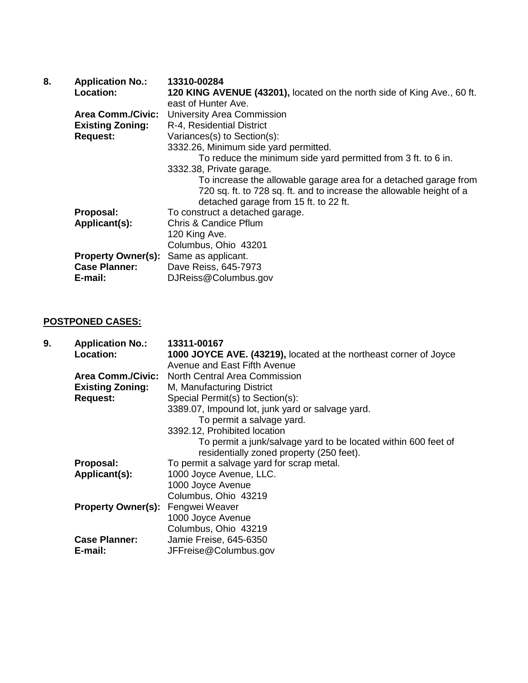| 8. | <b>Application No.:</b>   | 13310-00284                                                             |
|----|---------------------------|-------------------------------------------------------------------------|
|    | <b>Location:</b>          | 120 KING AVENUE (43201), located on the north side of King Ave., 60 ft. |
|    |                           | east of Hunter Ave.                                                     |
|    | <b>Area Comm./Civic:</b>  | <b>University Area Commission</b>                                       |
|    | <b>Existing Zoning:</b>   | R-4, Residential District                                               |
|    | <b>Request:</b>           | Variances(s) to Section(s):                                             |
|    |                           | 3332.26, Minimum side yard permitted.                                   |
|    |                           | To reduce the minimum side yard permitted from 3 ft. to 6 in.           |
|    |                           | 3332.38, Private garage.                                                |
|    |                           | To increase the allowable garage area for a detached garage from        |
|    |                           | 720 sq. ft. to 728 sq. ft. and to increase the allowable height of a    |
|    |                           | detached garage from 15 ft. to 22 ft.                                   |
|    | Proposal:                 | To construct a detached garage.                                         |
|    | Applicant(s):             | Chris & Candice Pflum                                                   |
|    |                           | 120 King Ave.                                                           |
|    |                           | Columbus, Ohio 43201                                                    |
|    | <b>Property Owner(s):</b> | Same as applicant.                                                      |
|    | <b>Case Planner:</b>      | Dave Reiss, 645-7973                                                    |
|    | E-mail:                   | DJReiss@Columbus.gov                                                    |

## **POSTPONED CASES:**

| 9. | <b>Application No.:</b>                  | 13311-00167                                                       |
|----|------------------------------------------|-------------------------------------------------------------------|
|    | Location:                                | 1000 JOYCE AVE. (43219), located at the northeast corner of Joyce |
|    |                                          | Avenue and East Fifth Avenue                                      |
|    | <b>Area Comm./Civic:</b>                 | <b>North Central Area Commission</b>                              |
|    | <b>Existing Zoning:</b>                  | M, Manufacturing District                                         |
|    | <b>Request:</b>                          | Special Permit(s) to Section(s):                                  |
|    |                                          | 3389.07, Impound lot, junk yard or salvage yard.                  |
|    |                                          | To permit a salvage yard.                                         |
|    |                                          | 3392.12, Prohibited location                                      |
|    |                                          | To permit a junk/salvage yard to be located within 600 feet of    |
|    |                                          | residentially zoned property (250 feet).                          |
|    | Proposal:                                | To permit a salvage yard for scrap metal.                         |
|    | Applicant(s):                            | 1000 Joyce Avenue, LLC.                                           |
|    |                                          | 1000 Joyce Avenue                                                 |
|    |                                          | Columbus, Ohio 43219                                              |
|    | <b>Property Owner(s): Fengwei Weaver</b> |                                                                   |
|    |                                          | 1000 Joyce Avenue                                                 |
|    |                                          | Columbus, Ohio 43219                                              |
|    | <b>Case Planner:</b>                     | Jamie Freise, 645-6350                                            |
|    | E-mail:                                  | JFFreise@Columbus.gov                                             |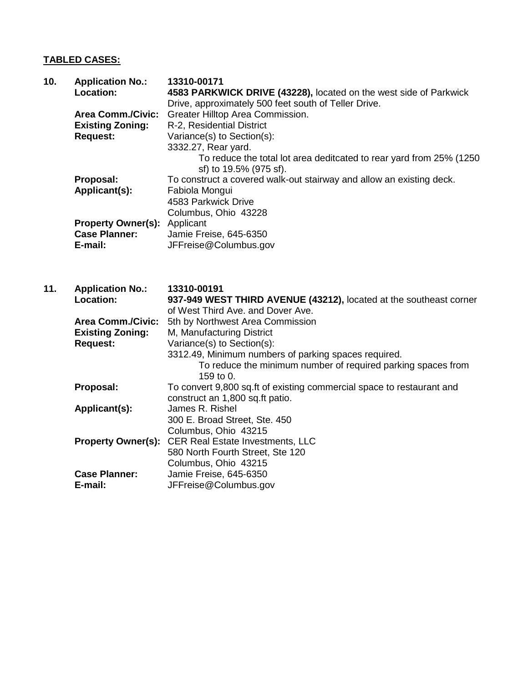## **TABLED CASES:**

| 10. | <b>Application No.:</b><br>Location:<br><b>Area Comm./Civic:</b> | 13310-00171<br>4583 PARKWICK DRIVE (43228), located on the west side of Parkwick<br>Drive, approximately 500 feet south of Teller Drive.<br>Greater Hilltop Area Commission.    |
|-----|------------------------------------------------------------------|---------------------------------------------------------------------------------------------------------------------------------------------------------------------------------|
|     | <b>Existing Zoning:</b><br><b>Request:</b>                       | R-2, Residential District<br>Variance(s) to Section(s):<br>3332.27, Rear yard.<br>To reduce the total lot area deditcated to rear yard from 25% (1250<br>sf) to 19.5% (975 sf). |
|     | Proposal:<br>Applicant(s):                                       | To construct a covered walk-out stairway and allow an existing deck.<br>Fabiola Mongui<br>4583 Parkwick Drive<br>Columbus, Ohio 43228                                           |
|     | <b>Property Owner(s):</b><br><b>Case Planner:</b><br>E-mail:     | Applicant<br>Jamie Freise, 645-6350<br>JFFreise@Columbus.gov                                                                                                                    |
| 11. | <b>Application No.:</b><br>Location:                             | 13310-00191<br>937-949 WEST THIRD AVENUE (43212), located at the southeast corner<br>of West Third Ave. and Dover Ave.                                                          |
|     | <b>Area Comm./Civic:</b>                                         | 5th by Northwest Area Commission                                                                                                                                                |
|     | <b>Existing Zoning:</b><br><b>Request:</b>                       | M, Manufacturing District<br>Variance(s) to Section(s):                                                                                                                         |
|     |                                                                  | 3312.49, Minimum numbers of parking spaces required.<br>To reduce the minimum number of required parking spaces from<br>159 to 0.                                               |
|     | Proposal:                                                        | To convert 9,800 sq.ft of existing commercial space to restaurant and<br>construct an 1,800 sq.ft patio.                                                                        |
|     | Applicant(s):                                                    | James R. Rishel<br>300 E. Broad Street, Ste. 450                                                                                                                                |
|     | <b>Property Owner(s):</b>                                        | Columbus, Ohio 43215<br><b>CER Real Estate Investments, LLC</b><br>580 North Fourth Street, Ste 120                                                                             |
|     | <b>Case Planner:</b><br>E-mail:                                  | Columbus, Ohio 43215<br>Jamie Freise, 645-6350<br>JFFreise@Columbus.gov                                                                                                         |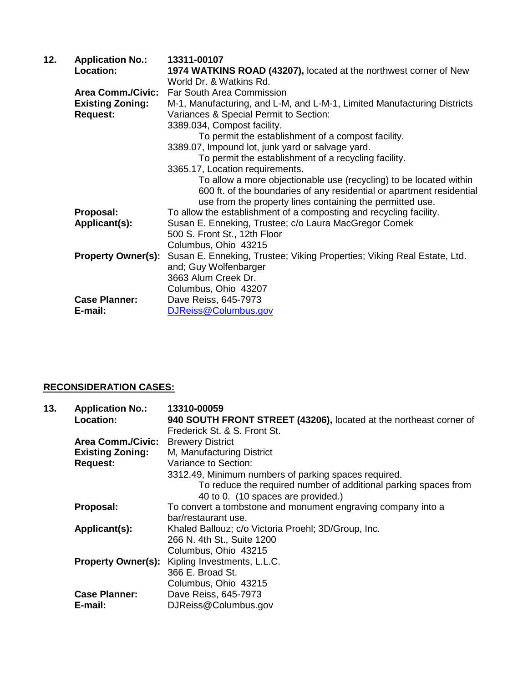| <b>Application No.:</b>   | 13311-00107                                                                                       |
|---------------------------|---------------------------------------------------------------------------------------------------|
| Location:                 | 1974 WATKINS ROAD (43207), located at the northwest corner of New                                 |
|                           | World Dr. & Watkins Rd.                                                                           |
|                           | Far South Area Commission                                                                         |
| <b>Existing Zoning:</b>   | M-1, Manufacturing, and L-M, and L-M-1, Limited Manufacturing Districts                           |
|                           | Variances & Special Permit to Section:                                                            |
|                           | 3389.034, Compost facility.                                                                       |
|                           | To permit the establishment of a compost facility.                                                |
|                           | 3389.07, Impound lot, junk yard or salvage yard.                                                  |
|                           | To permit the establishment of a recycling facility.                                              |
|                           | 3365.17, Location requirements.                                                                   |
|                           | To allow a more objectionable use (recycling) to be located within                                |
|                           | 600 ft. of the boundaries of any residential or apartment residential                             |
|                           | use from the property lines containing the permitted use.                                         |
|                           | To allow the establishment of a composting and recycling facility.                                |
|                           | Susan E. Enneking, Trustee; c/o Laura MacGregor Comek                                             |
|                           | 500 S. Front St., 12th Floor                                                                      |
|                           | Columbus, Ohio 43215                                                                              |
| <b>Property Owner(s):</b> | Susan E. Enneking, Trustee; Viking Properties; Viking Real Estate, Ltd.                           |
|                           | and; Guy Wolfenbarger                                                                             |
|                           | 3663 Alum Creek Dr.                                                                               |
|                           | Columbus, Ohio 43207                                                                              |
|                           | Dave Reiss, 645-7973                                                                              |
| E-mail:                   | DJReiss@Columbus.gov                                                                              |
|                           | <b>Area Comm./Civic:</b><br><b>Request:</b><br>Proposal:<br>Applicant(s):<br><b>Case Planner:</b> |

## **RECONSIDERATION CASES:**

| 13. | <b>Application No.:</b>   | 13310-00059                                                        |
|-----|---------------------------|--------------------------------------------------------------------|
|     | Location:                 | 940 SOUTH FRONT STREET (43206), located at the northeast corner of |
|     |                           | Frederick St. & S. Front St.                                       |
|     | <b>Area Comm./Civic:</b>  | <b>Brewery District</b>                                            |
|     | <b>Existing Zoning:</b>   | M, Manufacturing District                                          |
|     | <b>Request:</b>           | Variance to Section:                                               |
|     |                           | 3312.49, Minimum numbers of parking spaces required.               |
|     |                           | To reduce the required number of additional parking spaces from    |
|     |                           | 40 to 0. (10 spaces are provided.)                                 |
|     | Proposal:                 | To convert a tombstone and monument engraving company into a       |
|     |                           | bar/restaurant use.                                                |
|     | Applicant(s):             | Khaled Ballouz; c/o Victoria Proehl; 3D/Group, Inc.                |
|     |                           | 266 N. 4th St., Suite 1200                                         |
|     |                           | Columbus, Ohio 43215                                               |
|     | <b>Property Owner(s):</b> | Kipling Investments, L.L.C.                                        |
|     |                           | 366 E. Broad St.                                                   |
|     |                           | Columbus, Ohio 43215                                               |
|     | <b>Case Planner:</b>      | Dave Reiss, 645-7973                                               |
|     | E-mail:                   | DJReiss@Columbus.gov                                               |
|     |                           |                                                                    |